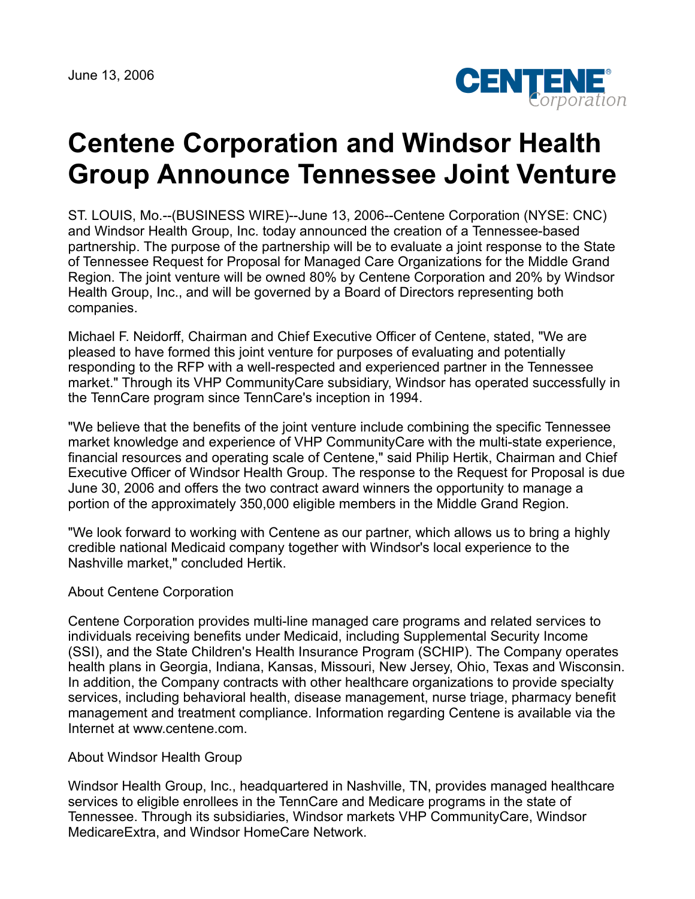June 13, 2006



## **Centene Corporation and Windsor Health Group Announce Tennessee Joint Venture**

ST. LOUIS, Mo.--(BUSINESS WIRE)--June 13, 2006--Centene Corporation (NYSE: CNC) and Windsor Health Group, Inc. today announced the creation of a Tennessee-based partnership. The purpose of the partnership will be to evaluate a joint response to the State of Tennessee Request for Proposal for Managed Care Organizations for the Middle Grand Region. The joint venture will be owned 80% by Centene Corporation and 20% by Windsor Health Group, Inc., and will be governed by a Board of Directors representing both companies.

Michael F. Neidorff, Chairman and Chief Executive Officer of Centene, stated, "We are pleased to have formed this joint venture for purposes of evaluating and potentially responding to the RFP with a well-respected and experienced partner in the Tennessee market." Through its VHP CommunityCare subsidiary, Windsor has operated successfully in the TennCare program since TennCare's inception in 1994.

"We believe that the benefits of the joint venture include combining the specific Tennessee market knowledge and experience of VHP CommunityCare with the multi-state experience, financial resources and operating scale of Centene," said Philip Hertik, Chairman and Chief Executive Officer of Windsor Health Group. The response to the Request for Proposal is due June 30, 2006 and offers the two contract award winners the opportunity to manage a portion of the approximately 350,000 eligible members in the Middle Grand Region.

"We look forward to working with Centene as our partner, which allows us to bring a highly credible national Medicaid company together with Windsor's local experience to the Nashville market," concluded Hertik.

## About Centene Corporation

Centene Corporation provides multi-line managed care programs and related services to individuals receiving benefits under Medicaid, including Supplemental Security Income (SSI), and the State Children's Health Insurance Program (SCHIP). The Company operates health plans in Georgia, Indiana, Kansas, Missouri, New Jersey, Ohio, Texas and Wisconsin. In addition, the Company contracts with other healthcare organizations to provide specialty services, including behavioral health, disease management, nurse triage, pharmacy benefit management and treatment compliance. Information regarding Centene is available via the Internet at www.centene.com.

## About Windsor Health Group

Windsor Health Group, Inc., headquartered in Nashville, TN, provides managed healthcare services to eligible enrollees in the TennCare and Medicare programs in the state of Tennessee. Through its subsidiaries, Windsor markets VHP CommunityCare, Windsor MedicareExtra, and Windsor HomeCare Network.